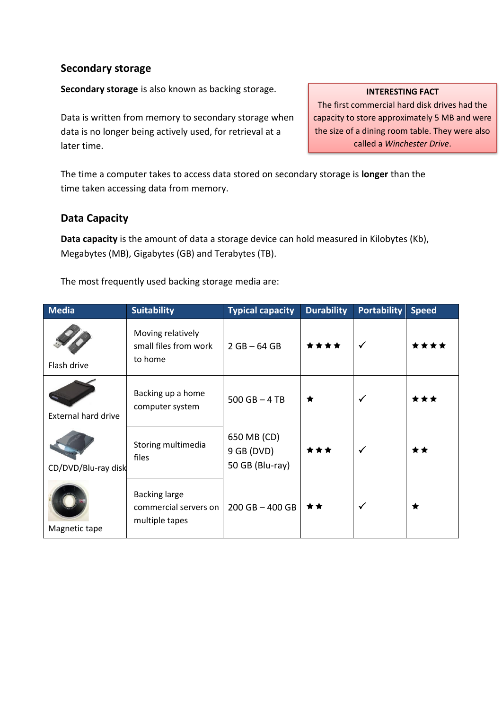## **Secondary storage**

**Secondary storage** is also known as backing storage.

Data is written from memory to secondary storage when data is no longer being actively used, for retrieval at a later time.

The time a computer takes to access data stored on secondary storage is **longer** than the time taken accessing data from memory.

# **Data Capacity**

**Data capacity** is the amount of data a storage device can hold measured in Kilobytes (Kb), Megabytes (MB), Gigabytes (GB) and Terabytes (TB).

The most frequently used backing storage media are:

| <b>Media</b>               | <b>Suitability</b>                                              | <b>Typical capacity</b>                        | <b>Durability</b> | <b>Portability</b> | <b>Speed</b> |
|----------------------------|-----------------------------------------------------------------|------------------------------------------------|-------------------|--------------------|--------------|
| Flash drive                | Moving relatively<br>small files from work<br>to home           | $2 GB - 64 GB$                                 | ****              | $\checkmark$       | ****         |
| <b>External hard drive</b> | Backing up a home<br>computer system                            | $500$ GB $-$ 4 TB                              | ★                 | $\checkmark$       |              |
| CD/DVD/Blu-ray disk        | Storing multimedia<br>files                                     | 650 MB (CD)<br>$9$ GB (DVD)<br>50 GB (Blu-ray) | ***               | $\checkmark$       | **           |
| Magnetic tape              | <b>Backing large</b><br>commercial servers on<br>multiple tapes | $200$ GB $-$ 400 GB                            | **                | $\checkmark$       | ★            |

### **INTERESTING FACT**

The first commercial hard disk drives had the capacity to store approximately 5 MB and were the size of a dining room table. They were also called a *Winchester Drive*.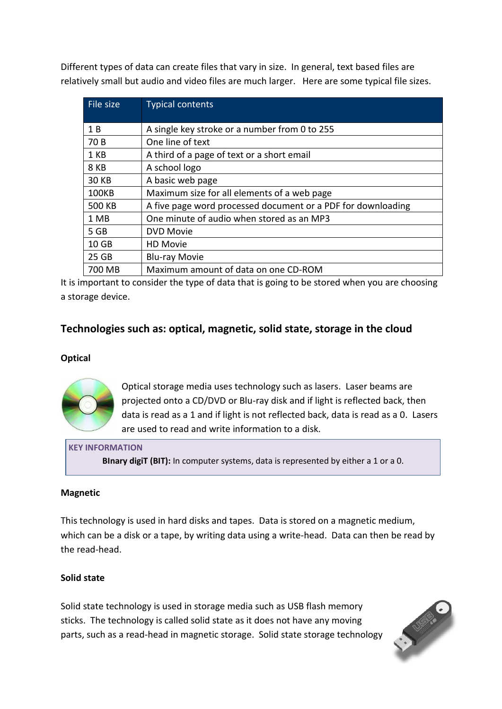Different types of data can create files that vary in size. In general, text based files are relatively small but audio and video files are much larger. Here are some typical file sizes.

| File size    | <b>Typical contents</b>                                      |  |  |  |
|--------------|--------------------------------------------------------------|--|--|--|
| 1 B          | A single key stroke or a number from 0 to 255                |  |  |  |
|              |                                                              |  |  |  |
| 70 B         | One line of text                                             |  |  |  |
| 1 KB         | A third of a page of text or a short email                   |  |  |  |
| 8 KB         | A school logo                                                |  |  |  |
| <b>30 KB</b> | A basic web page                                             |  |  |  |
| <b>100KB</b> | Maximum size for all elements of a web page                  |  |  |  |
| 500 KB       | A five page word processed document or a PDF for downloading |  |  |  |
| 1 MB         | One minute of audio when stored as an MP3                    |  |  |  |
| 5 GB         | <b>DVD Movie</b>                                             |  |  |  |
| 10 GB        | <b>HD Movie</b>                                              |  |  |  |
| 25 GB        | <b>Blu-ray Movie</b>                                         |  |  |  |
| 700 MB       | Maximum amount of data on one CD-ROM                         |  |  |  |

It is important to consider the type of data that is going to be stored when you are choosing a storage device.

# **Technologies such as: optical, magnetic, solid state, storage in the cloud**

### **Optical**



Optical storage media uses technology such as lasers. Laser beams are projected onto a CD/DVD or Blu-ray disk and if light is reflected back, then data is read as a 1 and if light is not reflected back, data is read as a 0. Lasers are used to read and write information to a disk.

#### **KEY INFORMATION**

**BInary digiT (BIT):** In computer systems, data is represented by either a 1 or a 0.

### **Magnetic**

This technology is used in hard disks and tapes. Data is stored on a magnetic medium, which can be a disk or a tape, by writing data using a write-head. Data can then be read by the read-head.

### **Solid state**

Solid state technology is used in storage media such as USB flash memory sticks. The technology is called solid state as it does not have any moving parts, such as a read-head in magnetic storage. Solid state storage technology